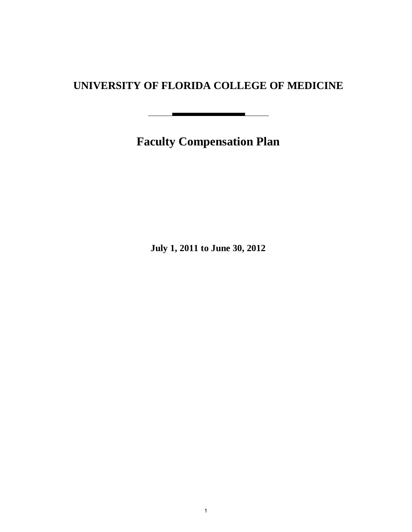# **UNIVERSITY OF FLORIDA COLLEGE OF MEDICINE**

 $\mathbf{r}$ 

**Faculty Compensation Plan**

<u> 1989 - John Harry Harry Harry Harry Harry Harry Harry Harry Harry Harry Harry Harry Harry Harry Harry Harry H</u>

**July 1, 2011 to June 30, 2012**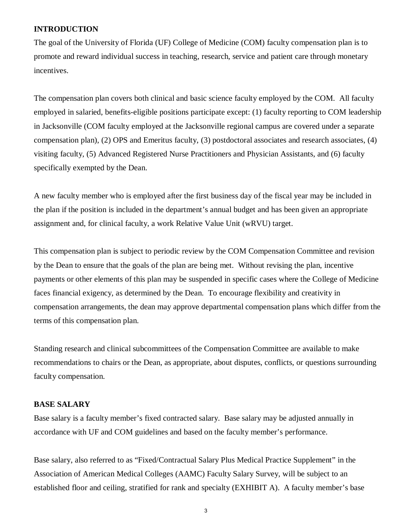### **INTRODUCTION**

The goal of the University of Florida (UF) College of Medicine (COM) faculty compensation plan is to promote and reward individual success in teaching, research, service and patient care through monetary incentives.

The compensation plan covers both clinical and basic science faculty employed by the COM. All faculty employed in salaried, benefits-eligible positions participate except: (1) faculty reporting to COM leadership in Jacksonville (COM faculty employed at the Jacksonville regional campus are covered under a separate compensation plan), (2) OPS and Emeritus faculty, (3) postdoctoral associates and research associates, (4) visiting faculty, (5) Advanced Registered Nurse Practitioners and Physician Assistants, and (6) faculty specifically exempted by the Dean.

A new faculty member who is employed after the first business day of the fiscal year may be included in the plan if the position is included in the department's annual budget and has been given an appropriate assignment and, for clinical faculty, a work Relative Value Unit (wRVU) target.

This compensation plan is subject to periodic review by the COM Compensation Committee and revision by the Dean to ensure that the goals of the plan are being met. Without revising the plan, incentive payments or other elements of this plan may be suspended in specific cases where the College of Medicine faces financial exigency, as determined by the Dean. To encourage flexibility and creativity in compensation arrangements, the dean may approve departmental compensation plans which differ from the terms of this compensation plan.

Standing research and clinical subcommittees of the Compensation Committee are available to make recommendations to chairs or the Dean, as appropriate, about disputes, conflicts, or questions surrounding faculty compensation.

### **BASE SALARY**

Base salary is a faculty member's fixed contracted salary. Base salary may be adjusted annually in accordance with UF and COM guidelines and based on the faculty member's performance.

Base salary, also referred to as "Fixed/Contractual Salary Plus Medical Practice Supplement" in the Association of American Medical Colleges (AAMC) Faculty Salary Survey, will be subject to an established floor and ceiling, stratified for rank and specialty (EXHIBIT A). A faculty member's base

3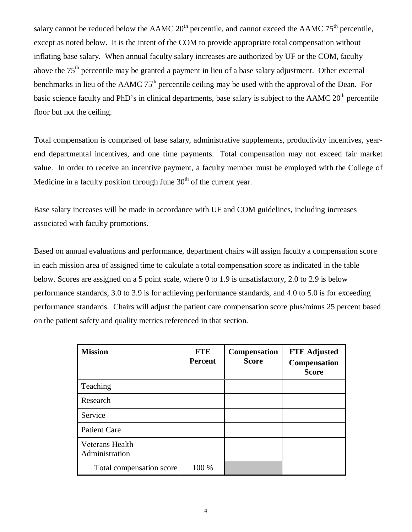salary cannot be reduced below the AAMC  $20<sup>th</sup>$  percentile, and cannot exceed the AAMC  $75<sup>th</sup>$  percentile, except as noted below. It is the intent of the COM to provide appropriate total compensation without inflating base salary. When annual faculty salary increases are authorized by UF or the COM, faculty above the 75th percentile may be granted a payment in lieu of a base salary adjustment*.* Other external benchmarks in lieu of the AAMC  $75<sup>th</sup>$  percentile ceiling may be used with the approval of the Dean. For basic science faculty and PhD's in clinical departments, base salary is subject to the AAMC  $20<sup>th</sup>$  percentile floor but not the ceiling.

Total compensation is comprised of base salary, administrative supplements, productivity incentives, yearend departmental incentives, and one time payments. Total compensation may not exceed fair market value. In order to receive an incentive payment, a faculty member must be employed with the College of Medicine in a faculty position through June  $30<sup>th</sup>$  of the current year.

Base salary increases will be made in accordance with UF and COM guidelines, including increases associated with faculty promotions.

Based on annual evaluations and performance, department chairs will assign faculty a compensation score in each mission area of assigned time to calculate a total compensation score as indicated in the table below. Scores are assigned on a 5 point scale, where 0 to 1.9 is unsatisfactory, 2.0 to 2.9 is below performance standards, 3.0 to 3.9 is for achieving performance standards, and 4.0 to 5.0 is for exceeding performance standards. Chairs will adjust the patient care compensation score plus/minus 25 percent based on the patient safety and quality metrics referenced in that section.

| <b>Mission</b>                           | <b>FTE</b><br><b>Percent</b> | <b>Compensation</b><br><b>Score</b> | <b>FTE Adjusted</b><br><b>Compensation</b><br><b>Score</b> |
|------------------------------------------|------------------------------|-------------------------------------|------------------------------------------------------------|
| Teaching                                 |                              |                                     |                                                            |
| Research                                 |                              |                                     |                                                            |
| Service                                  |                              |                                     |                                                            |
| <b>Patient Care</b>                      |                              |                                     |                                                            |
| <b>Veterans Health</b><br>Administration |                              |                                     |                                                            |
| Total compensation score                 | 100 %                        |                                     |                                                            |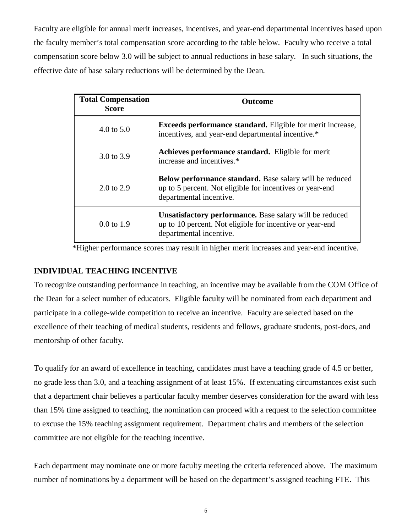Faculty are eligible for annual merit increases, incentives, and year-end departmental incentives based upon the faculty member's total compensation score according to the table below. Faculty who receive a total compensation score below 3.0 will be subject to annual reductions in base salary. In such situations, the effective date of base salary reductions will be determined by the Dean.

| <b>Total Compensation</b><br>Score | <b>Outcome</b>                                                                                                                                        |
|------------------------------------|-------------------------------------------------------------------------------------------------------------------------------------------------------|
| $4.0 \text{ to } 5.0$              | Exceeds performance standard. Eligible for merit increase,<br>incentives, and year-end departmental incentive.*                                       |
| 3.0 to 3.9                         | <b>Achieves performance standard.</b> Eligible for merit<br>increase and incentives.*                                                                 |
| $2.0 \text{ to } 2.9$              | <b>Below performance standard.</b> Base salary will be reduced<br>up to 5 percent. Not eligible for incentives or year-end<br>departmental incentive. |
| $0.0 \text{ to } 1.9$              | <b>Unsatisfactory performance.</b> Base salary will be reduced<br>up to 10 percent. Not eligible for incentive or year-end<br>departmental incentive. |

\*Higher performance scores may result in higher merit increases and year-end incentive.

### **INDIVIDUAL TEACHING INCENTIVE**

To recognize outstanding performance in teaching, an incentive may be available from the COM Office of the Dean for a select number of educators. Eligible faculty will be nominated from each department and participate in a college-wide competition to receive an incentive. Faculty are selected based on the excellence of their teaching of medical students, residents and fellows, graduate students, post-docs, and mentorship of other faculty.

To qualify for an award of excellence in teaching, candidates must have a teaching grade of 4.5 or better, no grade less than 3.0, and a teaching assignment of at least 15%. If extenuating circumstances exist such that a department chair believes a particular faculty member deserves consideration for the award with less than 15% time assigned to teaching, the nomination can proceed with a request to the selection committee to excuse the 15% teaching assignment requirement. Department chairs and members of the selection committee are not eligible for the teaching incentive.

Each department may nominate one or more faculty meeting the criteria referenced above. The maximum number of nominations by a department will be based on the department's assigned teaching FTE. This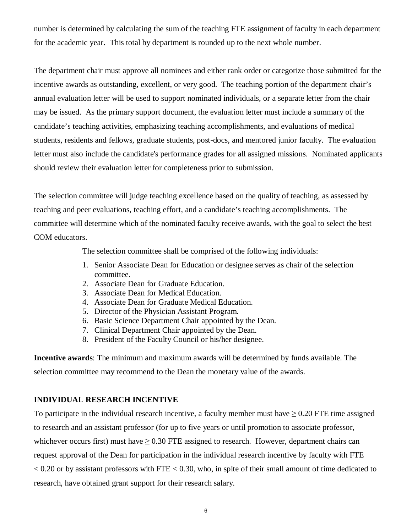number is determined by calculating the sum of the teaching FTE assignment of faculty in each department for the academic year. This total by department is rounded up to the next whole number.

The department chair must approve all nominees and either rank order or categorize those submitted for the incentive awards as outstanding, excellent, or very good. The teaching portion of the department chair's annual evaluation letter will be used to support nominated individuals, or a separate letter from the chair may be issued. As the primary support document, the evaluation letter must include a summary of the candidate's teaching activities, emphasizing teaching accomplishments, and evaluations of medical students, residents and fellows, graduate students, post-docs, and mentored junior faculty. The evaluation letter must also include the candidate's performance grades for all assigned missions. Nominated applicants should review their evaluation letter for completeness prior to submission.

The selection committee will judge teaching excellence based on the quality of teaching, as assessed by teaching and peer evaluations, teaching effort, and a candidate's teaching accomplishments. The committee will determine which of the nominated faculty receive awards, with the goal to select the best COM educators.

The selection committee shall be comprised of the following individuals:

- 1. Senior Associate Dean for Education or designee serves as chair of the selection committee.
- 2. Associate Dean for Graduate Education.
- 3. Associate Dean for Medical Education.
- 4. Associate Dean for Graduate Medical Education.
- 5. Director of the Physician Assistant Program.
- 6. Basic Science Department Chair appointed by the Dean.
- 7. Clinical Department Chair appointed by the Dean.
- 8. President of the Faculty Council or his/her designee.

**Incentive awards**: The minimum and maximum awards will be determined by funds available. The selection committee may recommend to the Dean the monetary value of the awards.

## **INDIVIDUAL RESEARCH INCENTIVE**

To participate in the individual research incentive, a faculty member must have  $\geq 0.20$  FTE time assigned to research and an assistant professor (for up to five years or until promotion to associate professor, whichever occurs first) must have  $\geq$  0.30 FTE assigned to research. However, department chairs can request approval of the Dean for participation in the individual research incentive by faculty with FTE  $< 0.20$  or by assistant professors with FTE  $< 0.30$ , who, in spite of their small amount of time dedicated to research, have obtained grant support for their research salary.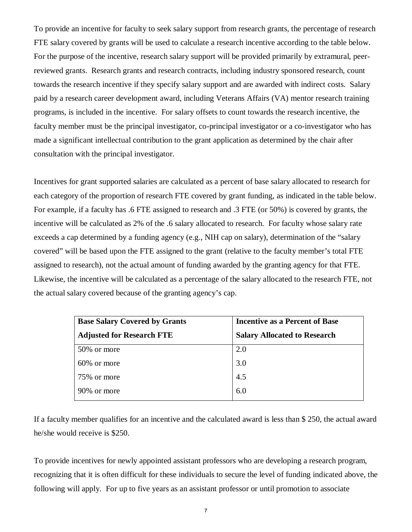To provide an incentive for faculty to seek salary support from research grants, the percentage of research FTE salary covered by grants will be used to calculate a research incentive according to the table below. For the purpose of the incentive, research salary support will be provided primarily by extramural, peerreviewed grants. Research grants and research contracts, including industry sponsored research, count towards the research incentive if they specify salary support and are awarded with indirect costs. Salary paid by a research career development award, including Veterans Affairs (VA) mentor research training programs, is included in the incentive. For salary offsets to count towards the research incentive, the faculty member must be the principal investigator, co-principal investigator or a co-investigator who has made a significant intellectual contribution to the grant application as determined by the chair after consultation with the principal investigator.

Incentives for grant supported salaries are calculated as a percent of base salary allocated to research for each category of the proportion of research FTE covered by grant funding, as indicated in the table below. For example, if a faculty has .6 FTE assigned to research and .3 FTE (or 50%) is covered by grants, the incentive will be calculated as 2% of the .6 salary allocated to research. For faculty whose salary rate exceeds a cap determined by a funding agency (e.g., NIH cap on salary), determination of the "salary covered" will be based upon the FTE assigned to the grant (relative to the faculty member's total FTE assigned to research), not the actual amount of funding awarded by the granting agency for that FTE. Likewise, the incentive will be calculated as a percentage of the salary allocated to the research FTE, not the actual salary covered because of the granting agency's cap.

| <b>Base Salary Covered by Grants</b> | <b>Incentive as a Percent of Base</b> |
|--------------------------------------|---------------------------------------|
| <b>Adjusted for Research FTE</b>     | <b>Salary Allocated to Research</b>   |
| 50\% or more                         | 2.0                                   |
| 60\% or more                         | 3.0                                   |
| 75\% or more                         | 4.5                                   |
| 90\% or more                         | 6.0                                   |

If a faculty member qualifies for an incentive and the calculated award is less than \$ 250, the actual award he/she would receive is \$250.

To provide incentives for newly appointed assistant professors who are developing a research program, recognizing that it is often difficult for these individuals to secure the level of funding indicated above, the following will apply. For up to five years as an assistant professor or until promotion to associate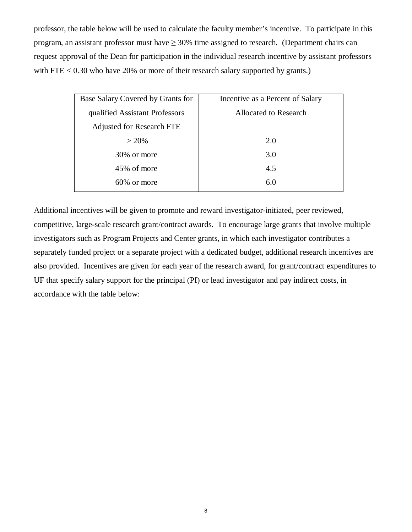professor, the table below will be used to calculate the faculty member's incentive. To participate in this program, an assistant professor must have  $\geq$  30% time assigned to research. (Department chairs can request approval of the Dean for participation in the individual research incentive by assistant professors with FTE  $< 0.30$  who have 20% or more of their research salary supported by grants.)

| Base Salary Covered by Grants for | Incentive as a Percent of Salary |
|-----------------------------------|----------------------------------|
| qualified Assistant Professors    | Allocated to Research            |
| <b>Adjusted for Research FTE</b>  |                                  |
| $> 20\%$                          | 2.0                              |
| 30% or more                       | 3.0                              |
| 45% of more                       | 4.5                              |
| 60% or more                       | 6.0                              |
|                                   |                                  |

Additional incentives will be given to promote and reward investigator-initiated, peer reviewed, competitive, large-scale research grant/contract awards. To encourage large grants that involve multiple investigators such as Program Projects and Center grants, in which each investigator contributes a separately funded project or a separate project with a dedicated budget, additional research incentives are also provided. Incentives are given for each year of the research award, for grant/contract expenditures to UF that specify salary support for the principal (PI) or lead investigator and pay indirect costs, in accordance with the table below: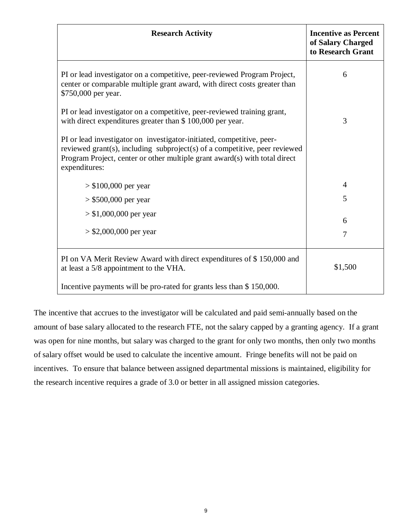| <b>Research Activity</b>                                                                                                                                                                                                                           | <b>Incentive as Percent</b><br>of Salary Charged<br>to Research Grant |
|----------------------------------------------------------------------------------------------------------------------------------------------------------------------------------------------------------------------------------------------------|-----------------------------------------------------------------------|
| PI or lead investigator on a competitive, peer-reviewed Program Project,<br>center or comparable multiple grant award, with direct costs greater than<br>\$750,000 per year.                                                                       | 6                                                                     |
| PI or lead investigator on a competitive, peer-reviewed training grant,<br>with direct expenditures greater than \$100,000 per year.                                                                                                               | 3                                                                     |
| PI or lead investigator on investigator-initiated, competitive, peer-<br>reviewed grant(s), including subproject(s) of a competitive, peer reviewed<br>Program Project, center or other multiple grant award(s) with total direct<br>expenditures: |                                                                       |
| $> $100,000$ per year                                                                                                                                                                                                                              | $\overline{4}$                                                        |
| $>$ \$500,000 per year                                                                                                                                                                                                                             | 5                                                                     |
| $> $1,000,000$ per year                                                                                                                                                                                                                            | 6                                                                     |
| $>$ \$2,000,000 per year                                                                                                                                                                                                                           | $\overline{7}$                                                        |
| PI on VA Merit Review Award with direct expenditures of \$150,000 and<br>at least a 5/8 appointment to the VHA.                                                                                                                                    | \$1,500                                                               |
| Incentive payments will be pro-rated for grants less than \$150,000.                                                                                                                                                                               |                                                                       |

The incentive that accrues to the investigator will be calculated and paid semi-annually based on the amount of base salary allocated to the research FTE, not the salary capped by a granting agency. If a grant was open for nine months, but salary was charged to the grant for only two months, then only two months of salary offset would be used to calculate the incentive amount. Fringe benefits will not be paid on incentives. To ensure that balance between assigned departmental missions is maintained, eligibility for the research incentive requires a grade of 3.0 or better in all assigned mission categories.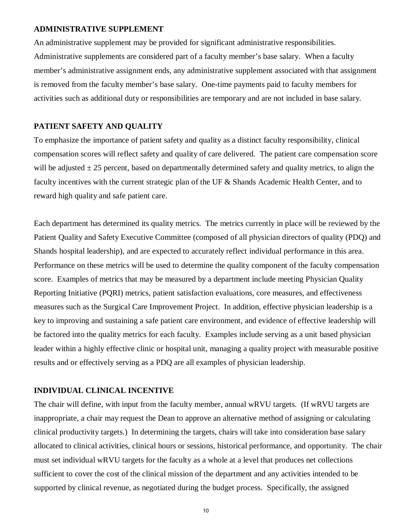### **ADMINISTRATIVE SUPPLEMENT**

An administrative supplement may be provided for significant administrative responsibilities. Administrative supplements are considered part of a faculty member's base salary. When a faculty member's administrative assignment ends, any administrative supplement associated with that assignment is removed from the faculty member's base salary. One-time payments paid to faculty members for activities such as additional duty or responsibilities are temporary and are not included in base salary*.*

### **PATIENT SAFETY AND QUALITY**

To emphasize the importance of patient safety and quality as a distinct faculty responsibility, clinical compensation scores will reflect safety and quality of care delivered. The patient care compensation score will be adjusted  $\pm 25$  percent, based on departmentally determined safety and quality metrics, to align the faculty incentives with the current strategic plan of the UF & Shands Academic Health Center, and to reward high quality and safe patient care.

Each department has determined its quality metrics. The metrics currently in place will be reviewed by the Patient Quality and Safety Executive Committee (composed of all physician directors of quality (PDQ) and Shands hospital leadership), and are expected to accurately reflect individual performance in this area. Performance on these metrics will be used to determine the quality component of the faculty compensation score. Examples of metrics that may be measured by a department include meeting Physician Quality Reporting Initiative (PQRI) metrics, patient satisfaction evaluations, core measures, and effectiveness measures such as the Surgical Care Improvement Project. In addition, effective physician leadership is a key to improving and sustaining a safe patient care environment, and evidence of effective leadership will be factored into the quality metrics for each faculty. Examples include serving as a unit based physician leader within a highly effective clinic or hospital unit, managing a quality project with measurable positive results and or effectively serving as a PDQ are all examples of physician leadership.

### **INDIVIDUAL CLINICAL INCENTIVE**

The chair will define, with input from the faculty member, annual wRVU targets. (If wRVU targets are inappropriate, a chair may request the Dean to approve an alternative method of assigning or calculating clinical productivity targets.) In determining the targets, chairs will take into consideration base salary allocated to clinical activities, clinical hours or sessions, historical performance, and opportunity. The chair must set individual wRVU targets for the faculty as a whole at a level that produces net collections sufficient to cover the cost of the clinical mission of the department and any activities intended to be supported by clinical revenue, as negotiated during the budget process. Specifically, the assigned

10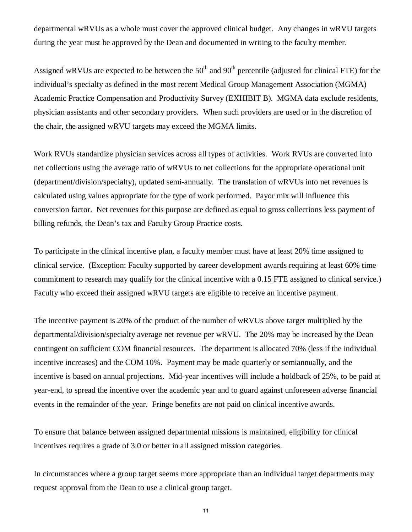departmental wRVUs as a whole must cover the approved clinical budget. Any changes in wRVU targets during the year must be approved by the Dean and documented in writing to the faculty member.

Assigned wRVUs are expected to be between the  $50<sup>th</sup>$  and  $90<sup>th</sup>$  percentile (adjusted for clinical FTE) for the individual's specialty as defined in the most recent Medical Group Management Association (MGMA) Academic Practice Compensation and Productivity Survey (EXHIBIT B). MGMA data exclude residents, physician assistants and other secondary providers. When such providers are used or in the discretion of the chair, the assigned wRVU targets may exceed the MGMA limits.

Work RVUs standardize physician services across all types of activities. Work RVUs are converted into net collections using the average ratio of wRVUs to net collections for the appropriate operational unit (department/division/specialty), updated semi-annually. The translation of wRVUs into net revenues is calculated using values appropriate for the type of work performed. Payor mix will influence this conversion factor. Net revenues for this purpose are defined as equal to gross collections less payment of billing refunds, the Dean's tax and Faculty Group Practice costs.

To participate in the clinical incentive plan, a faculty member must have at least 20% time assigned to clinical service. (Exception: Faculty supported by career development awards requiring at least 60% time commitment to research may qualify for the clinical incentive with a 0.15 FTE assigned to clinical service.) Faculty who exceed their assigned wRVU targets are eligible to receive an incentive payment.

The incentive payment is 20% of the product of the number of wRVUs above target multiplied by the departmental/division/specialty average net revenue per wRVU. The 20% may be increased by the Dean contingent on sufficient COM financial resources*.* The department is allocated 70% (less if the individual incentive increases) and the COM 10%. Payment may be made quarterly or semiannually, and the incentive is based on annual projections. Mid-year incentives will include a holdback of 25%, to be paid at year-end, to spread the incentive over the academic year and to guard against unforeseen adverse financial events in the remainder of the year. Fringe benefits are not paid on clinical incentive awards.

To ensure that balance between assigned departmental missions is maintained, eligibility for clinical incentives requires a grade of 3.0 or better in all assigned mission categories.

In circumstances where a group target seems more appropriate than an individual target departments may request approval from the Dean to use a clinical group target.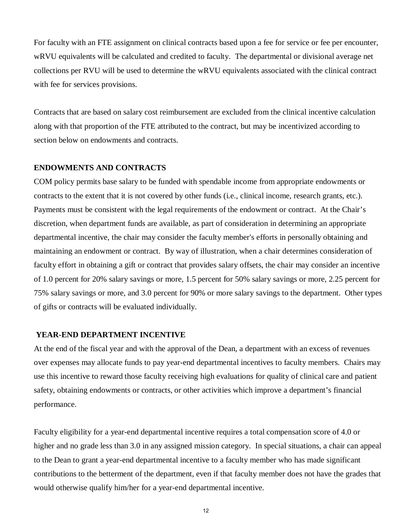For faculty with an FTE assignment on clinical contracts based upon a fee for service or fee per encounter, wRVU equivalents will be calculated and credited to faculty. The departmental or divisional average net collections per RVU will be used to determine the wRVU equivalents associated with the clinical contract with fee for services provisions.

Contracts that are based on salary cost reimbursement are excluded from the clinical incentive calculation along with that proportion of the FTE attributed to the contract, but may be incentivized according to section below on endowments and contracts.

### **ENDOWMENTS AND CONTRACTS**

COM policy permits base salary to be funded with spendable income from appropriate endowments or contracts to the extent that it is not covered by other funds (i.e., clinical income, research grants, etc.). Payments must be consistent with the legal requirements of the endowment or contract. At the Chair's discretion, when department funds are available, as part of consideration in determining an appropriate departmental incentive, the chair may consider the faculty member's efforts in personally obtaining and maintaining an endowment or contract. By way of illustration, when a chair determines consideration of faculty effort in obtaining a gift or contract that provides salary offsets, the chair may consider an incentive of 1.0 percent for 20% salary savings or more, 1.5 percent for 50% salary savings or more, 2.25 percent for 75% salary savings or more, and 3.0 percent for 90% or more salary savings to the department. Other types of gifts or contracts will be evaluated individually.

### **YEAR-END DEPARTMENT INCENTIVE**

At the end of the fiscal year and with the approval of the Dean, a department with an excess of revenues over expenses may allocate funds to pay year-end departmental incentives to faculty members. Chairs may use this incentive to reward those faculty receiving high evaluations for quality of clinical care and patient safety, obtaining endowments or contracts, or other activities which improve a department's financial performance.

Faculty eligibility for a year-end departmental incentive requires a total compensation score of 4.0 or higher and no grade less than 3.0 in any assigned mission category. In special situations, a chair can appeal to the Dean to grant a year-end departmental incentive to a faculty member who has made significant contributions to the betterment of the department, even if that faculty member does not have the grades that would otherwise qualify him/her for a year-end departmental incentive.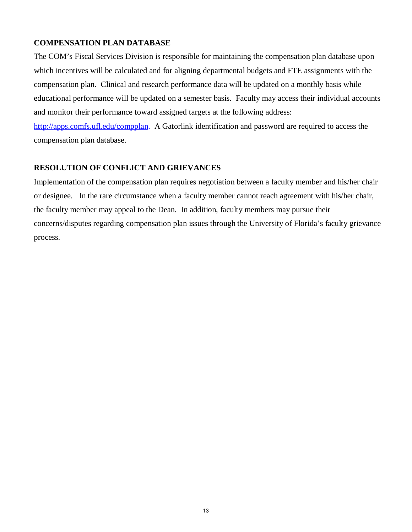### **COMPENSATION PLAN DATABASE**

The COM's Fiscal Services Division is responsible for maintaining the compensation plan database upon which incentives will be calculated and for aligning departmental budgets and FTE assignments with the compensation plan. Clinical and research performance data will be updated on a monthly basis while educational performance will be updated on a semester basis. Faculty may access their individual accounts and monitor their performance toward assigned targets at the following address:

[http://apps.comfs.ufl.edu/compplan.](http://apps.comfs.ufl.edu/compplan) A Gatorlink identification and password are required to access the compensation plan database.

### **RESOLUTION OF CONFLICT AND GRIEVANCES**

Implementation of the compensation plan requires negotiation between a faculty member and his/her chair or designee. In the rare circumstance when a faculty member cannot reach agreement with his/her chair, the faculty member may appeal to the Dean. In addition, faculty members may pursue their concerns/disputes regarding compensation plan issues through the University of Florida's faculty grievance process.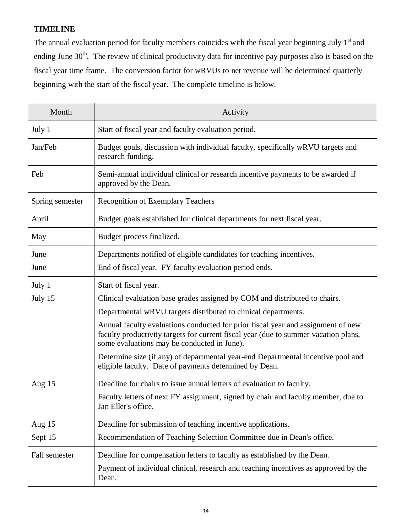# **TIMELINE**

The annual evaluation period for faculty members coincides with the fiscal year beginning July  $1<sup>st</sup>$  and ending June 30<sup>th</sup>. The review of clinical productivity data for incentive pay purposes also is based on the fiscal year time frame. The conversion factor for wRVUs to net revenue will be determined quarterly beginning with the start of the fiscal year. The complete timeline is below.

| Month           | Activity                                                                                                                                                                                                               |
|-----------------|------------------------------------------------------------------------------------------------------------------------------------------------------------------------------------------------------------------------|
| July 1          | Start of fiscal year and faculty evaluation period.                                                                                                                                                                    |
| Jan/Feb         | Budget goals, discussion with individual faculty, specifically wRVU targets and<br>research funding.                                                                                                                   |
| Feb             | Semi-annual individual clinical or research incentive payments to be awarded if<br>approved by the Dean.                                                                                                               |
| Spring semester | <b>Recognition of Exemplary Teachers</b>                                                                                                                                                                               |
| April           | Budget goals established for clinical departments for next fiscal year.                                                                                                                                                |
| May             | Budget process finalized.                                                                                                                                                                                              |
| June            | Departments notified of eligible candidates for teaching incentives.                                                                                                                                                   |
| June            | End of fiscal year. FY faculty evaluation period ends.                                                                                                                                                                 |
| July 1          | Start of fiscal year.                                                                                                                                                                                                  |
| July 15         | Clinical evaluation base grades assigned by COM and distributed to chairs.                                                                                                                                             |
|                 | Departmental wRVU targets distributed to clinical departments.                                                                                                                                                         |
|                 | Annual faculty evaluations conducted for prior fiscal year and assignment of new<br>faculty productivity targets for current fiscal year (due to summer vacation plans,<br>some evaluations may be conducted in June). |
|                 | Determine size (if any) of departmental year-end Departmental incentive pool and<br>eligible faculty. Date of payments determined by Dean.                                                                             |
| Aug $15$        | Deadline for chairs to issue annual letters of evaluation to faculty.                                                                                                                                                  |
|                 | Faculty letters of next FY assignment, signed by chair and faculty member, due to<br>Jan Eller's office.                                                                                                               |
| Aug $15$        | Deadline for submission of teaching incentive applications.                                                                                                                                                            |
| Sept 15         | Recommendation of Teaching Selection Committee due in Dean's office.                                                                                                                                                   |
| Fall semester   | Deadline for compensation letters to faculty as established by the Dean.                                                                                                                                               |
|                 | Payment of individual clinical, research and teaching incentives as approved by the<br>Dean.                                                                                                                           |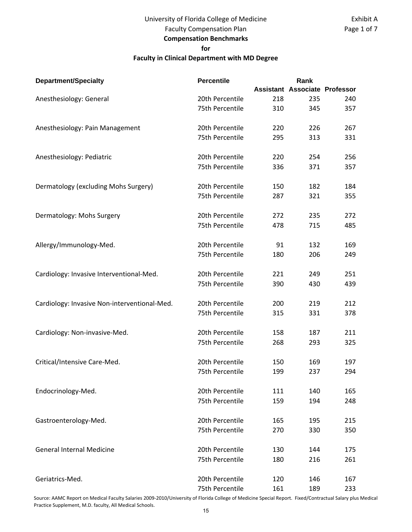# University of Florida College of Medicine Faculty Compensation Plan **Compensation Benchmarks for**

### **Faculty in Clinical Department with MD Degree**

| <b>Department/Specialty</b>                  | <b>Percentile</b> |     | Rank                                 |     |
|----------------------------------------------|-------------------|-----|--------------------------------------|-----|
|                                              |                   |     | <b>Assistant Associate Professor</b> |     |
| Anesthesiology: General                      | 20th Percentile   | 218 | 235                                  | 240 |
|                                              | 75th Percentile   | 310 | 345                                  | 357 |
|                                              |                   |     |                                      |     |
| Anesthesiology: Pain Management              | 20th Percentile   | 220 | 226                                  | 267 |
|                                              | 75th Percentile   | 295 | 313                                  | 331 |
| Anesthesiology: Pediatric                    | 20th Percentile   | 220 | 254                                  | 256 |
|                                              | 75th Percentile   | 336 | 371                                  | 357 |
|                                              |                   |     |                                      |     |
| Dermatology (excluding Mohs Surgery)         | 20th Percentile   | 150 | 182                                  | 184 |
|                                              | 75th Percentile   | 287 | 321                                  | 355 |
|                                              |                   |     |                                      |     |
| Dermatology: Mohs Surgery                    | 20th Percentile   | 272 | 235                                  | 272 |
|                                              | 75th Percentile   | 478 | 715                                  | 485 |
| Allergy/Immunology-Med.                      | 20th Percentile   | 91  | 132                                  | 169 |
|                                              | 75th Percentile   | 180 | 206                                  | 249 |
|                                              |                   |     |                                      |     |
| Cardiology: Invasive Interventional-Med.     | 20th Percentile   | 221 | 249                                  | 251 |
|                                              | 75th Percentile   | 390 | 430                                  | 439 |
| Cardiology: Invasive Non-interventional-Med. | 20th Percentile   | 200 | 219                                  | 212 |
|                                              | 75th Percentile   | 315 | 331                                  | 378 |
|                                              |                   |     |                                      |     |
| Cardiology: Non-invasive-Med.                | 20th Percentile   | 158 | 187                                  | 211 |
|                                              | 75th Percentile   | 268 | 293                                  | 325 |
|                                              |                   |     |                                      |     |
| Critical/Intensive Care-Med.                 | 20th Percentile   | 150 | 169                                  | 197 |
|                                              | 75th Percentile   | 199 | 237                                  | 294 |
| Endocrinology-Med.                           | 20th Percentile   | 111 | 140                                  | 165 |
|                                              | 75th Percentile   | 159 | 194                                  | 248 |
|                                              |                   |     |                                      |     |
| Gastroenterology-Med.                        | 20th Percentile   | 165 | 195                                  | 215 |
|                                              | 75th Percentile   | 270 | 330                                  | 350 |
| <b>General Internal Medicine</b>             | 20th Percentile   | 130 | 144                                  | 175 |
|                                              | 75th Percentile   | 180 | 216                                  | 261 |
|                                              |                   |     |                                      |     |
| Geriatrics-Med.                              | 20th Percentile   | 120 | 146                                  | 167 |
|                                              | 75th Percentile   | 161 | 189                                  | 233 |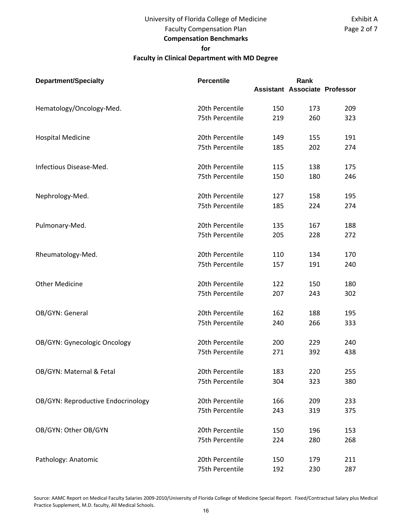## University of Florida College of Medicine Faculty Compensation Plan

# **Compensation Benchmarks**

#### **for**

### **Faculty in Clinical Department with MD Degree**

| <b>Department/Specialty</b>        | <b>Percentile</b> |     | Rank                                 |     |
|------------------------------------|-------------------|-----|--------------------------------------|-----|
|                                    |                   |     | <b>Assistant Associate Professor</b> |     |
| Hematology/Oncology-Med.           | 20th Percentile   | 150 | 173                                  | 209 |
|                                    | 75th Percentile   | 219 | 260                                  | 323 |
| <b>Hospital Medicine</b>           | 20th Percentile   | 149 | 155                                  | 191 |
|                                    | 75th Percentile   | 185 | 202                                  | 274 |
| Infectious Disease-Med.            | 20th Percentile   | 115 | 138                                  | 175 |
|                                    | 75th Percentile   | 150 | 180                                  | 246 |
| Nephrology-Med.                    | 20th Percentile   | 127 | 158                                  | 195 |
|                                    | 75th Percentile   | 185 | 224                                  | 274 |
| Pulmonary-Med.                     | 20th Percentile   | 135 | 167                                  | 188 |
|                                    | 75th Percentile   | 205 | 228                                  | 272 |
| Rheumatology-Med.                  | 20th Percentile   | 110 | 134                                  | 170 |
|                                    | 75th Percentile   | 157 | 191                                  | 240 |
| <b>Other Medicine</b>              | 20th Percentile   | 122 | 150                                  | 180 |
|                                    | 75th Percentile   | 207 | 243                                  | 302 |
| OB/GYN: General                    | 20th Percentile   | 162 | 188                                  | 195 |
|                                    | 75th Percentile   | 240 | 266                                  | 333 |
| OB/GYN: Gynecologic Oncology       | 20th Percentile   | 200 | 229                                  | 240 |
|                                    | 75th Percentile   | 271 | 392                                  | 438 |
| OB/GYN: Maternal & Fetal           | 20th Percentile   | 183 | 220                                  | 255 |
|                                    | 75th Percentile   | 304 | 323                                  | 380 |
| OB/GYN: Reproductive Endocrinology | 20th Percentile   | 166 | 209                                  | 233 |
|                                    | 75th Percentile   | 243 | 319                                  | 375 |
| OB/GYN: Other OB/GYN               | 20th Percentile   | 150 | 196                                  | 153 |
|                                    | 75th Percentile   | 224 | 280                                  | 268 |
| Pathology: Anatomic                | 20th Percentile   | 150 | 179                                  | 211 |
|                                    | 75th Percentile   | 192 | 230                                  | 287 |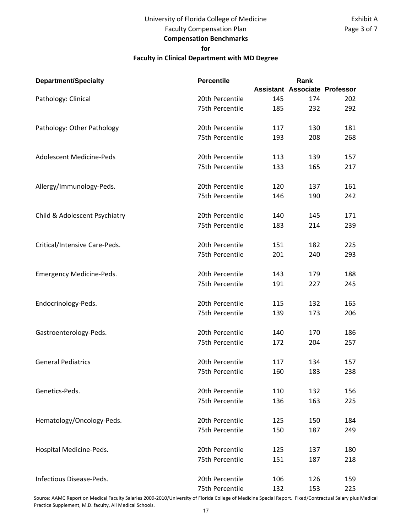## University of Florida College of Medicine Faculty Compensation Plan **Compensation Benchmarks for**

### **Faculty in Clinical Department with MD Degree**

| <b>Department/Specialty</b>     | <b>Percentile</b> |     | Rank                                 |     |
|---------------------------------|-------------------|-----|--------------------------------------|-----|
|                                 |                   |     | <b>Assistant Associate Professor</b> |     |
| Pathology: Clinical             | 20th Percentile   | 145 | 174                                  | 202 |
|                                 | 75th Percentile   | 185 | 232                                  | 292 |
| Pathology: Other Pathology      | 20th Percentile   | 117 | 130                                  | 181 |
|                                 | 75th Percentile   | 193 | 208                                  | 268 |
| <b>Adolescent Medicine-Peds</b> | 20th Percentile   | 113 | 139                                  | 157 |
|                                 | 75th Percentile   | 133 | 165                                  | 217 |
| Allergy/Immunology-Peds.        | 20th Percentile   | 120 | 137                                  | 161 |
|                                 | 75th Percentile   | 146 | 190                                  | 242 |
| Child & Adolescent Psychiatry   | 20th Percentile   | 140 | 145                                  | 171 |
|                                 | 75th Percentile   | 183 | 214                                  | 239 |
| Critical/Intensive Care-Peds.   | 20th Percentile   | 151 | 182                                  | 225 |
|                                 | 75th Percentile   | 201 | 240                                  | 293 |
| Emergency Medicine-Peds.        | 20th Percentile   | 143 | 179                                  | 188 |
|                                 | 75th Percentile   | 191 | 227                                  | 245 |
| Endocrinology-Peds.             | 20th Percentile   | 115 | 132                                  | 165 |
|                                 | 75th Percentile   | 139 | 173                                  | 206 |
| Gastroenterology-Peds.          | 20th Percentile   | 140 | 170                                  | 186 |
|                                 | 75th Percentile   | 172 | 204                                  | 257 |
| <b>General Pediatrics</b>       | 20th Percentile   | 117 | 134                                  | 157 |
|                                 | 75th Percentile   | 160 | 183                                  | 238 |
| Genetics-Peds.                  | 20th Percentile   | 110 | 132                                  | 156 |
|                                 | 75th Percentile   | 136 | 163                                  | 225 |
| Hematology/Oncology-Peds.       | 20th Percentile   | 125 | 150                                  | 184 |
|                                 | 75th Percentile   | 150 | 187                                  | 249 |
| Hospital Medicine-Peds.         | 20th Percentile   | 125 | 137                                  | 180 |
|                                 | 75th Percentile   | 151 | 187                                  | 218 |
| Infectious Disease-Peds.        | 20th Percentile   | 106 | 126                                  | 159 |
|                                 | 75th Percentile   | 132 | 153                                  | 225 |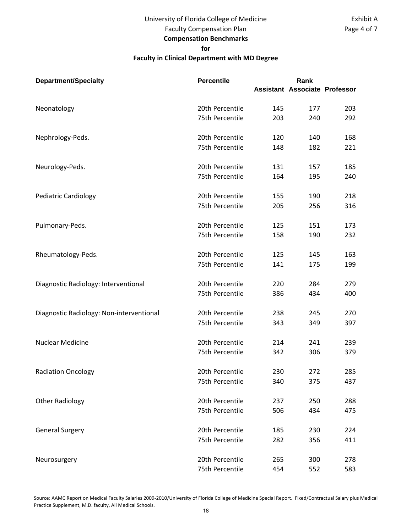# University of Florida College of Medicine

Faculty Compensation Plan **Compensation Benchmarks**

### **for**

### **Faculty in Clinical Department with MD Degree**

| <b>Department/Specialty</b>              | <b>Percentile</b> |     | Rank                                 |     |
|------------------------------------------|-------------------|-----|--------------------------------------|-----|
|                                          |                   |     | <b>Assistant Associate Professor</b> |     |
| Neonatology                              | 20th Percentile   | 145 | 177                                  | 203 |
|                                          | 75th Percentile   | 203 | 240                                  | 292 |
| Nephrology-Peds.                         | 20th Percentile   | 120 | 140                                  | 168 |
|                                          | 75th Percentile   | 148 | 182                                  | 221 |
| Neurology-Peds.                          | 20th Percentile   | 131 | 157                                  | 185 |
|                                          | 75th Percentile   | 164 | 195                                  | 240 |
| <b>Pediatric Cardiology</b>              | 20th Percentile   | 155 | 190                                  | 218 |
|                                          | 75th Percentile   | 205 | 256                                  | 316 |
| Pulmonary-Peds.                          | 20th Percentile   | 125 | 151                                  | 173 |
|                                          | 75th Percentile   | 158 | 190                                  | 232 |
| Rheumatology-Peds.                       | 20th Percentile   | 125 | 145                                  | 163 |
|                                          | 75th Percentile   | 141 | 175                                  | 199 |
| Diagnostic Radiology: Interventional     | 20th Percentile   | 220 | 284                                  | 279 |
|                                          | 75th Percentile   | 386 | 434                                  | 400 |
| Diagnostic Radiology: Non-interventional | 20th Percentile   | 238 | 245                                  | 270 |
|                                          | 75th Percentile   | 343 | 349                                  | 397 |
| <b>Nuclear Medicine</b>                  | 20th Percentile   | 214 | 241                                  | 239 |
|                                          | 75th Percentile   | 342 | 306                                  | 379 |
| <b>Radiation Oncology</b>                | 20th Percentile   | 230 | 272                                  | 285 |
|                                          | 75th Percentile   | 340 | 375                                  | 437 |
| <b>Other Radiology</b>                   | 20th Percentile   | 237 | 250                                  | 288 |
|                                          | 75th Percentile   | 506 | 434                                  | 475 |
| <b>General Surgery</b>                   | 20th Percentile   | 185 | 230                                  | 224 |
|                                          | 75th Percentile   | 282 | 356                                  | 411 |
| Neurosurgery                             | 20th Percentile   | 265 | 300                                  | 278 |
|                                          | 75th Percentile   | 454 | 552                                  | 583 |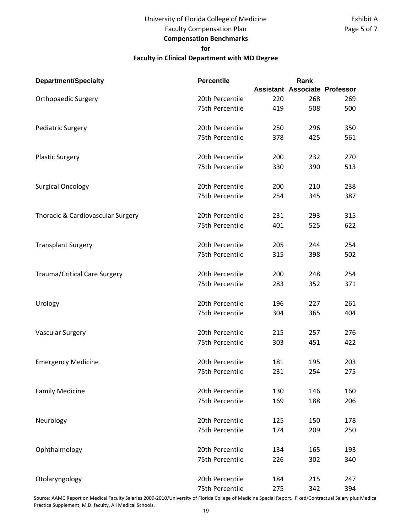## University of Florida College of Medicine Faculty Compensation Plan

# **Compensation Benchmarks**

#### **for**

### **Faculty in Clinical Department with MD Degree**

| <b>Department/Specialty</b>         | <b>Percentile</b> |     | Rank                                 |     |
|-------------------------------------|-------------------|-----|--------------------------------------|-----|
|                                     |                   |     | <b>Assistant Associate Professor</b> |     |
| <b>Orthopaedic Surgery</b>          | 20th Percentile   | 220 | 268                                  | 269 |
|                                     | 75th Percentile   | 419 | 508                                  | 500 |
| <b>Pediatric Surgery</b>            | 20th Percentile   | 250 | 296                                  | 350 |
|                                     | 75th Percentile   | 378 | 425                                  | 561 |
| <b>Plastic Surgery</b>              | 20th Percentile   | 200 | 232                                  | 270 |
|                                     | 75th Percentile   | 330 | 390                                  | 513 |
| <b>Surgical Oncology</b>            | 20th Percentile   | 200 | 210                                  | 238 |
|                                     | 75th Percentile   | 254 | 345                                  | 387 |
| Thoracic & Cardiovascular Surgery   | 20th Percentile   | 231 | 293                                  | 315 |
|                                     | 75th Percentile   | 401 | 525                                  | 622 |
| <b>Transplant Surgery</b>           | 20th Percentile   | 205 | 244                                  | 254 |
|                                     | 75th Percentile   | 315 | 398                                  | 502 |
| <b>Trauma/Critical Care Surgery</b> | 20th Percentile   | 200 | 248                                  | 254 |
|                                     | 75th Percentile   | 283 | 352                                  | 371 |
| Urology                             | 20th Percentile   | 196 | 227                                  | 261 |
|                                     | 75th Percentile   | 304 | 365                                  | 404 |
| <b>Vascular Surgery</b>             | 20th Percentile   | 215 | 257                                  | 276 |
|                                     | 75th Percentile   | 303 | 451                                  | 422 |
| <b>Emergency Medicine</b>           | 20th Percentile   | 181 | 195                                  | 203 |
|                                     | 75th Percentile   | 231 | 254                                  | 275 |
| <b>Family Medicine</b>              | 20th Percentile   | 130 | 146                                  | 160 |
|                                     | 75th Percentile   | 169 | 188                                  | 206 |
| Neurology                           | 20th Percentile   | 125 | 150                                  | 178 |
|                                     | 75th Percentile   | 174 | 209                                  | 250 |
| Ophthalmology                       | 20th Percentile   | 134 | 165                                  | 193 |
|                                     | 75th Percentile   | 226 | 302                                  | 340 |
| Otolaryngology                      | 20th Percentile   | 184 | 215                                  | 247 |
|                                     | 75th Percentile   | 275 | 342                                  | 394 |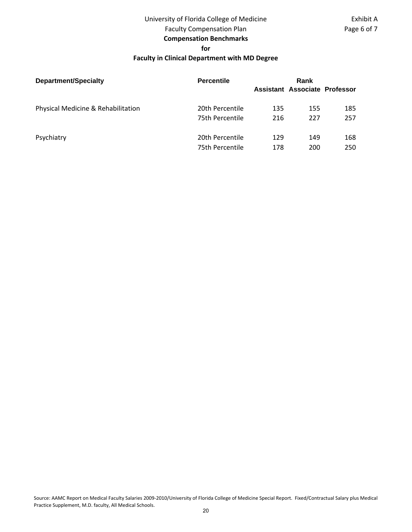# University of Florida College of Medicine

# Faculty Compensation Plan

# **Compensation Benchmarks**

**for**

### **Faculty in Clinical Department with MD Degree**

| <b>Department/Specialty</b>        | <b>Percentile</b> |     | Rank                          |     |  |
|------------------------------------|-------------------|-----|-------------------------------|-----|--|
|                                    |                   |     | Assistant Associate Professor |     |  |
|                                    |                   |     |                               |     |  |
| Physical Medicine & Rehabilitation | 20th Percentile   | 135 | 155                           | 185 |  |
|                                    | 75th Percentile   | 216 | 227                           | 257 |  |
| Psychiatry                         | 20th Percentile   | 129 | 149                           | 168 |  |
|                                    | 75th Percentile   | 178 | 200                           | 250 |  |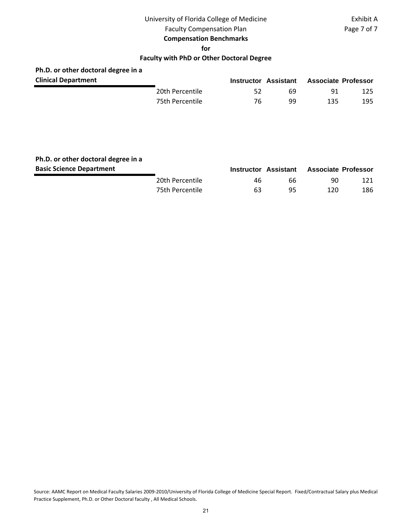# University of Florida College of Medicine

Exhibit A Page 7 of 7

Faculty Compensation Plan

#### **Compensation Benchmarks**

**for**

### **Faculty with PhD or Other Doctoral Degree**

# **Ph.D. or other doctoral degree in a**

| <b>Department</b> |                 | Instructor Assistant |    | <b>Associate Professor</b> |     |
|-------------------|-----------------|----------------------|----|----------------------------|-----|
|                   | 20th Percentile |                      | 69 | -91                        | 125 |
|                   | 75th Percentile | 76                   | qq | 135                        | 195 |

# **Ph.D. or other doctoral degree in a**

| <b>Basic Science Department</b> |                 |    | Instructor Assistant Associate Professor |     |     |
|---------------------------------|-----------------|----|------------------------------------------|-----|-----|
|                                 | 20th Percentile | 46 | 66.                                      | 90  | 121 |
|                                 | 75th Percentile | 63 | -95                                      | 120 | 186 |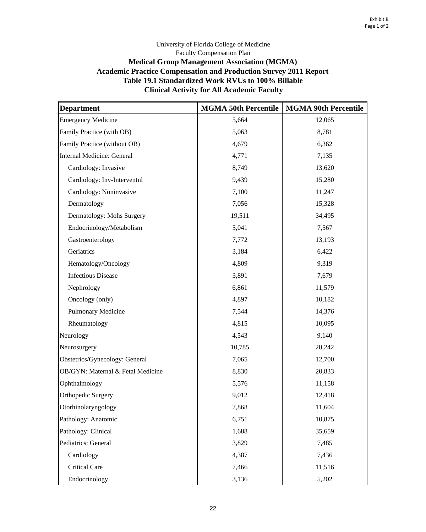### University of Florida College of Medicine Faculty Compensation Plan **Medical Group Management Association (MGMA) Academic Practice Compensation and Production Survey 2011 Report Table 19.1 Standardized Work RVUs to 100% Billable Clinical Activity for All Academic Faculty**

| <b>Department</b>                 | <b>MGMA 50th Percentile</b> | <b>MGMA 90th Percentile</b> |  |  |
|-----------------------------------|-----------------------------|-----------------------------|--|--|
| <b>Emergency Medicine</b>         | 5,664                       | 12,065                      |  |  |
| Family Practice (with OB)         | 5,063                       | 8,781                       |  |  |
| Family Practice (without OB)      | 4,679                       | 6,362                       |  |  |
| <b>Internal Medicine: General</b> | 4,771                       | 7,135                       |  |  |
| Cardiology: Invasive              | 8,749                       | 13,620                      |  |  |
| Cardiology: Inv-Interventnl       | 9,439                       | 15,280                      |  |  |
| Cardiology: Noninvasive           | 7,100                       | 11,247                      |  |  |
| Dermatology                       | 7,056                       | 15,328                      |  |  |
| Dermatology: Mohs Surgery         | 19,511                      | 34,495                      |  |  |
| Endocrinology/Metabolism          | 5,041                       | 7,567                       |  |  |
| Gastroenterology                  | 7,772                       | 13,193                      |  |  |
| Geriatrics                        | 3,184                       | 6,422                       |  |  |
| Hematology/Oncology               | 4,809                       | 9,319                       |  |  |
| <b>Infectious Disease</b>         | 3,891                       | 7,679                       |  |  |
| Nephrology                        | 6,861                       | 11,579                      |  |  |
| Oncology (only)                   | 4,897                       | 10,182                      |  |  |
| Pulmonary Medicine                | 7,544                       | 14,376                      |  |  |
| Rheumatology                      | 4,815                       | 10,095                      |  |  |
| Neurology                         | 4,543                       | 9,140                       |  |  |
| Neurosurgery                      | 10,785                      | 20,242                      |  |  |
| Obstetrics/Gynecology: General    | 7,065                       | 12,700                      |  |  |
| OB/GYN: Maternal & Fetal Medicine | 8,830                       | 20,833                      |  |  |
| Ophthalmology                     | 5,576                       | 11,158                      |  |  |
| Orthopedic Surgery                | 9,012                       | 12,418                      |  |  |
| Otorhinolaryngology               | 7,868                       | 11,604                      |  |  |
| Pathology: Anatomic               | 6,751                       | 10,875                      |  |  |
| Pathology: Clinical               | 1,688                       | 35,659                      |  |  |
| Pediatrics: General               | 3,829                       | 7,485                       |  |  |
| Cardiology                        | 4,387                       | 7,436                       |  |  |
| <b>Critical Care</b>              | 7,466                       | 11,516                      |  |  |
| Endocrinology                     | 3,136                       | 5,202                       |  |  |